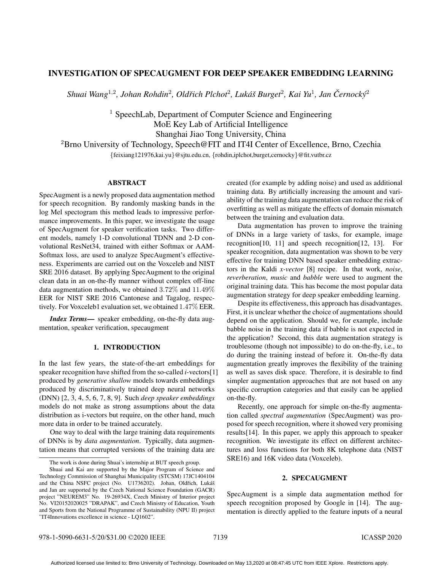# INVESTIGATION OF SPECAUGMENT FOR DEEP SPEAKER EMBEDDING LEARNING

 $Shu$ ai Wang<sup>1,2</sup>, Johan Rohdin<sup>2</sup>, Oldřich Plchot<sup>2</sup>, Lukáš Burget<sup>2</sup>, Kai Yu<sup>1</sup>, Jan Černocký<sup>2</sup>

<sup>1</sup> SpeechLab, Department of Computer Science and Engineering MoE Key Lab of Artificial Intelligence Shanghai Jiao Tong University, China <sup>2</sup>Brno University of Technology, Speech@FIT and IT4I Center of Excellence, Brno, Czechia

{feixiang121976,kai.yu}@sjtu.edu.cn, {rohdin,iplchot,burget,cernocky}@fit.vutbr.cz

## ABSTRACT

SpecAugment is a newly proposed data augmentation method for speech recognition. By randomly masking bands in the log Mel spectogram this method leads to impressive performance improvements. In this paper, we investigate the usage of SpecAugment for speaker verification tasks. Two different models, namely 1-D convolutional TDNN and 2-D convolutional ResNet34, trained with either Softmax or AAM-Softmax loss, are used to analyze SpecAugment's effectiveness. Experiments are carried out on the Voxceleb and NIST SRE 2016 dataset. By applying SpecAugment to the original clean data in an on-the-fly manner without complex off-line data augmentation methods, we obtained 3.72% and 11.49% EER for NIST SRE 2016 Cantonese and Tagalog, respectively. For Voxceleb1 evaluation set, we obtained 1.47% EER.

*Index Terms*— speaker embedding, on-the-fly data augmentation, speaker verification, specaugment

#### 1. INTRODUCTION

In the last few years, the state-of-the-art embeddings for speaker recognition have shifted from the so-called *i*-vectors[1] produced by *generative shallow* models towards embeddings produced by discriminatively trained deep neural networks (DNN) [2, 3, 4, 5, 6, 7, 8, 9]. Such *deep speaker embeddings* models do not make as strong assumptions about the data distribution as i-vectors but require, on the other hand, much more data in order to be trained accurately.

One way to deal with the large training data requirements of DNNs is by *data augmentation*. Typically, data augmentation means that corrupted versions of the training data are created (for example by adding noise) and used as additional training data. By artificially increasing the amount and variability of the training data augmentation can reduce the risk of overfitting as well as mitigate the effects of domain mismatch between the training and evaluation data.

Data augmentation has proven to improve the training of DNNs in a large variety of tasks, for example, image recognition[10, 11] and speech recognition[12, 13]. For speaker recognition, data augmentation was shown to be very effective for training DNN based speaker embedding extractors in the Kaldi *x-vector* [8] recipe. In that work, *noise*, *reverberation*, *music* and *babble* were used to augment the original training data. This has become the most popular data augmentation strategy for deep speaker embedding learning.

Despite its effectiveness, this approach has disadvantages. First, it is unclear whether the choice of augmentations should depend on the application. Should we, for example, include babble noise in the training data if babble is not expected in the application? Second, this data augmentation strategy is troublesome (though not impossible) to do on-the-fly, i.e., to do during the training instead of before it. On-the-fly data augmentation greatly improves the flexibility of the training as well as saves disk space. Therefore, it is desirable to find simpler augmentation approaches that are not based on any specific corruption categories and that easily can be applied on-the-fly.

Recently, one approach for simple on-the-fly augmentation called *spectral augmentation* (SpecAugment) was proposed for speech recognition, where it showed very promising results[14]. In this paper, we apply this approach to speaker recognition. We investigate its effect on different architectures and loss functions for both 8K telephone data (NIST SRE16) and 16K video data (Voxceleb).

### 2. SPECAUGMENT

SpecAugment is a simple data augmentation method for speech recognition proposed by Google in [14]. The augmentation is directly applied to the feature inputs of a neural

The work is done during Shuai's internship at BUT speech group.

Shuai and Kai are supported by the Major Program of Science and Technology Commission of Shanghai Municipality (STCSM) 17JC1404104 and the China NSFC project (No. U1736202). Johan, Oldřich, Lukáš and Jan are supported by the Czech National Science Foundation (GACR) project "NEUREM3" No. 19-26934X, Czech Ministry of Interior project No. VI20152020025 "DRAPAK", and Czech Ministry of Education, Youth and Sports from the National Programme of Sustainability (NPU II) project "IT4Innovations excellence in science - LQ1602".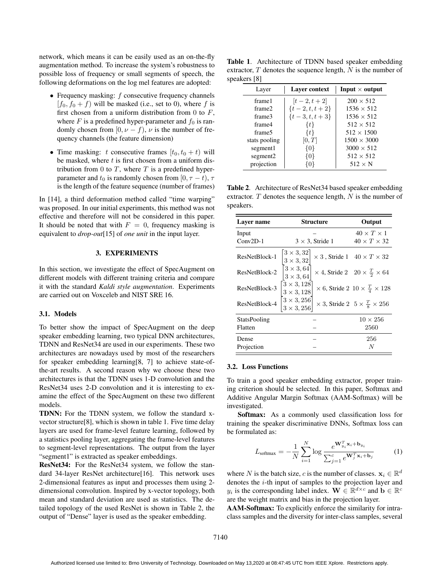network, which means it can be easily used as an on-the-fly augmentation method. To increase the system's robustness to possible loss of frequency or small segments of speech, the following deformations on the log mel features are adopted:

- Frequency masking:  $f$  consecutive frequency channels  $[f_0, f_0 + f]$  will be masked (i.e., set to 0), where f is first chosen from a uniform distribution from 0 to  $F$ , where  $F$  is a predefined hyper-parameter and  $f_0$  is randomly chosen from  $[0, \nu - f)$ ,  $\nu$  is the number of frequency channels (the feature dimension)
- Time masking: t consecutive frames  $[t_0, t_0 + t)$  will be masked, where  $t$  is first chosen from a uniform distribution from 0 to  $T$ , where  $T$  is a predefined hyperparameter and  $t_0$  is randomly chosen from [0,  $\tau - t$ ],  $\tau$ is the length of the feature sequence (number of frames)

In [14], a third deformation method called "time warping" was proposed. In our initial experiments, this method was not effective and therefore will not be considered in this paper. It should be noted that with  $F = 0$ , frequency masking is equivalent to *drop-out*[15] of *one unit* in the input layer.

## 3. EXPERIMENTS

In this section, we investigate the effect of SpecAugment on different models with different training criteria and compare it with the standard *Kaldi style augmentation*. Experiments are carried out on Voxceleb and NIST SRE 16.

#### 3.1. Models

To better show the impact of SpecAugment on the deep speaker embedding learning, two typical DNN architectures, TDNN and ResNet34 are used in our experiments. These two architectures are nowadays used by most of the researchers for speaker embedding learning[8, 7] to achieve state-ofthe-art results. A second reason why we choose these two architectures is that the TDNN uses 1-D convolution and the ResNet34 uses 2-D convolution and it is interesting to examine the effect of the SpecAugment on these two different models.

TDNN: For the TDNN system, we follow the standard xvector structure[8], which is shown in table 1. Five time delay layers are used for frame-level feature learning, followed by a statistics pooling layer, aggregating the frame-level features to segment-level representations. The output from the layer "segment1" is extracted as speaker embeddings.

ResNet34: For the ResNet34 system, we follow the standard 34-layer ResNet architecture[16]. This network uses 2-dimensional features as input and processes them using 2 dimensional convolution. Inspired by x-vector topology, both mean and standard deviation are used as statistics. The detailed topology of the used ResNet is shown in Table 2, the output of "Dense" layer is used as the speaker embedding.

Table 1. Architecture of TDNN based speaker embedding extractor,  $T$  denotes the sequence length,  $N$  is the number of speakers [8]

| Layer                | Layer context     | Input $\times$ output |
|----------------------|-------------------|-----------------------|
| frame1               | $[t-2, t+2]$      | $200 \times 512$      |
| frame <sub>2</sub>   | $\{t-2, t, t+2\}$ | $1536 \times 512$     |
| frame3               | $\{t-3, t, t+3\}$ | $1536 \times 512$     |
| frame4               | $\{t\}$           | $512 \times 512$      |
| frame5               | $\{t\}$           | $512 \times 1500$     |
| stats pooling        | [0,T]             | $1500 \times 3000$    |
| segment1             | {0}               | $3000 \times 512$     |
| segment <sub>2</sub> | {0}               | $512 \times 512$      |
| projection           | 801               | $512 \times N$        |

Table 2. Architecture of ResNet34 based speaker embedding extractor.  $T$  denotes the sequence length,  $N$  is the number of speakers.

| Laver name          | Structure                             | Output                                                  |  |  |
|---------------------|---------------------------------------|---------------------------------------------------------|--|--|
| Input<br>$Conv2D-1$ | $3 \times 3$ , Stride 1               | $40 \times T \times 1$<br>$40 \times T \times 32$       |  |  |
|                     | $3 \times 3, 32$                      | $\times$ 3, Stride 1 40 $\times$ T $\times$ 32          |  |  |
| ResNetBlock-1       | $3 \times 3, 32$<br>$3 \times 3,64$   |                                                         |  |  |
| ResNetBlock-2       | $3 \times 3,64$                       | $\times$ 4, Stride 2 20 $\times \frac{T}{2} \times 64$  |  |  |
| ResNetBlock-3       | $3 \times 3,128$<br>$3 \times 3, 128$ | $\times$ 6, Stride 2 10 $\times \frac{T}{4} \times 128$ |  |  |
| ResNetBlock-4       | $3 \times 3,256$<br>$3 \times 3,256$  | $\times$ 3, Stride 2 5 $\times \frac{T}{8} \times 256$  |  |  |
| StatsPooling        |                                       | $10 \times 256$                                         |  |  |
| Flatten             |                                       | 2560                                                    |  |  |
| Dense               |                                       | 256                                                     |  |  |
| Projection          |                                       | N                                                       |  |  |

## 3.2. Loss Functions

To train a good speaker embedding extractor, proper training criterion should be selected. In this paper, Softmax and Additive Angular Margin Softmax (AAM-Softmax) will be investigated.

Softmax: As a commonly used classification loss for training the speaker discriminative DNNs, Softmax loss can be formulated as:

$$
L_{\text{softmax}} = -\frac{1}{N} \sum_{i=1}^{N} \log \frac{e^{\mathbf{W}_{y_i}^T \mathbf{x}_i + \mathbf{b}_{y_i}}}{\sum_{j=1}^{c} e^{\mathbf{W}_j^T \mathbf{x}_i + \mathbf{b}_j}}
$$
(1)

where N is the batch size, c is the number of classes.  $x_i \in \mathbb{R}^d$ denotes the i-th input of samples to the projection layer and  $y_i$  is the corresponding label index.  $\mathbf{W} \in \mathbb{R}^{d \times c}$  and  $\mathbf{b} \in \mathbb{R}^c$ are the weight matrix and bias in the projection layer.

AAM-Softmax: To explicitly enforce the similarity for intraclass samples and the diversity for inter-class samples, several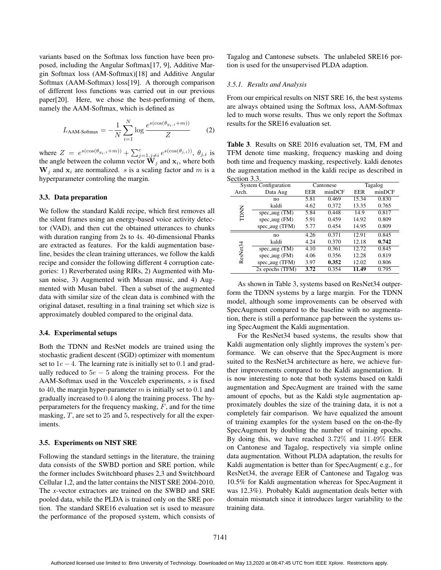variants based on the Softmax loss function have been proposed, including the Angular Softmax[17, 9], Additive Margin Softmax loss (AM-Softmax)[18] and Additive Angular Softmax (AAM-Softmax) loss[19]. A thorough comparison of different loss functions was carried out in our previous paper[20]. Here, we chose the best-performing of them, namely the AAM-Softmax, which is defined as

$$
L_{\text{AAM-Sofimax}} = -\frac{1}{N} \sum_{i=1}^{N} \log \frac{e^{s(\cos(\theta_{y_i,i}+m))}}{Z}
$$
 (2)

where  $Z = e^{s(\cos(\theta_{y_i}, i+m))} + \sum_{j=1, j\neq i}^{c} e^{s(\cos(\theta_{j,i}))}$ ,  $\theta_{j,i}$  is the angle between the column vector  $\tilde{W}_j$  and  $x_i$ , where both  $W_i$  and  $x_i$  are normalized. *s* is a scaling factor and *m* is a hyperparameter controling the margin.

## 3.3. Data preparation

We follow the standard Kaldi recipe, which first removes all the silent frames using an energy-based voice activity detector (VAD), and then cut the obtained utterances to chunks with duration ranging from 2s to 4s. 40-dimensional Fbanks are extracted as features. For the kaldi augmentation baseline, besides the clean training utterances, we follow the kaldi recipe and consider the following different 4 corruption categories: 1) Reverberated using RIRs, 2) Augmented with Musan noise, 3) Augmented with Musan music, and 4) Augmented with Musan babel. Then a subset of the augmented data with similar size of the clean data is combined with the original dataset, resulting in a final training set which size is approximately doubled compared to the original data.

#### 3.4. Experimental setups

Both the TDNN and ResNet models are trained using the stochastic gradient descent (SGD) optimizer with momentum set to  $1e - 4$ . The learning rate is initially set to 0.1 and gradually reduced to  $5e - 5$  along the training process. For the AAM-Softmax used in the Voxceleb experiments, s is fixed to 40, the margin hyper-parameter  $m$  is initially set to 0.1 and gradually increased to 0.4 along the training process. The hyperparameters for the frequency masking,  $F$ , and for the time masking, T, are set to 25 and 5, respectively for all the experiments.

## 3.5. Experiments on NIST SRE

Following the standard settings in the literature, the training data consists of the SWBD portion and SRE portion, while the former includes Switchboard phases 2,3 and Switchboard Cellular 1,2, and the latter contains the NIST SRE 2004-2010. The *x*-vector extractors are trained on the SWBD and SRE pooled data, while the PLDA is trained only on the SRE portion. The standard SRE16 evaluation set is used to measure the performance of the proposed system, which consists of

Tagalog and Cantonese subsets. The unlabeled SRE16 portion is used for the unsupervised PLDA adaption.

## *3.5.1. Results and Analysis*

From our empirical results on NIST SRE 16, the best systems are always obtained using the Softmax loss, AAM-Softmax led to much worse results. Thus we only report the Softmax results for the SRE16 evaluation set.

Table 3. Results on SRE 2016 evaluation set, TM, FM and TFM denote time masking, frequency masking and doing both time and frequency masking, respectively. kaldi denotes the augmentation method in the kaldi recipe as described in Section 3.3.

| <b>System Configuration</b> |                    | Cantonese |        | Tagalog |        |  |
|-----------------------------|--------------------|-----------|--------|---------|--------|--|
| Arch.                       | Data Aug           | EER       | minDCF | EER     | minDCF |  |
| TDNN                        | no                 | 5.81      | 0.469  | 15.34   | 0.830  |  |
|                             | kaldi              | 4.62      | 0.372  | 13.35   | 0.765  |  |
|                             | $spec_$ aug (TM)   | 5.84      | 0.448  | 14.9    | 0.817  |  |
|                             | $spec_$ aug $(FM)$ | 5.91      | 0.459  | 14.92   | 0.809  |  |
|                             | spec_aug (TFM)     | 5.77      | 0.454  | 14.95   | 0.809  |  |
| ResNet34                    | no                 | 4.26      | 0.371  | 12.91   | 0.845  |  |
|                             | kaldi              | 4.24      | 0.370  | 12.18   | 0.742  |  |
|                             | spec_aug $(TM)$    | 4.10      | 0.361  | 12.72   | 0.845  |  |
|                             | $spec_$ aug (FM)   | 4.06      | 0.356  | 12.28   | 0.819  |  |
|                             | spec_aug (TFM)     | 3.97      | 0.352  | 12.02   | 0.806  |  |
|                             | 2x epochs (TFM)    | 3.72      | 0.354  | 11.49   | 0.795  |  |

As shown in Table 3, systems based on ResNet34 outperform the TDNN systems by a large margin. For the TDNN model, although some improvements can be observed with SpecAugment compared to the baseline with no augmentation, there is still a performance gap between the systems using SpecAugment the Kaldi augmentation.

For the ResNet34 based systems, the results show that Kaldi augmentation only slightly improves the system's performance. We can observe that the SpecAugment is more suited to the ResNet34 architecture as here, we achieve further improvements compared to the Kaldi augmentation. It is now interesting to note that both systems based on kaldi augmentation and SpecAugment are trained with the same amount of epochs, but as the Kaldi style augmentation approximately doubles the size of the training data, it is not a completely fair comparison. We have equalized the amount of training examples for the system based on the on-the-fly SpecAugment by doubling the number of training epochs. By doing this, we have reached 3.72% and 11.49% EER on Cantonese and Tagalog, respectively via simple online data augmentation. Without PLDA adaptation, the results for Kaldi augmentation is better than for SpecAugment( e.g., for ResNet34, the average EER of Cantonese and Tagalog was 10.5% for Kaldi augmentation whereas for SpecAugment it was 12.3%). Probably Kaldi augmentation deals better with domain mismatch since it introduces larger variability to the training data.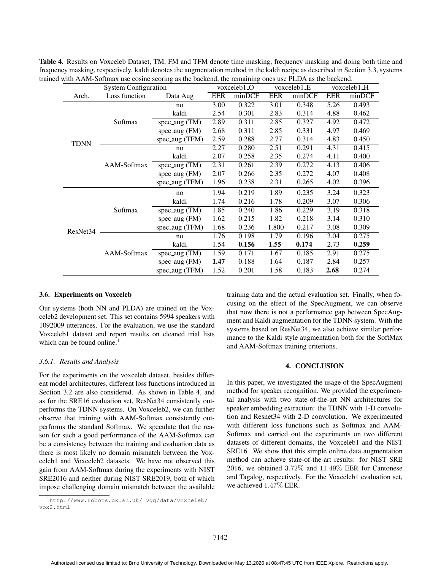| <b>System Configuration</b> |               | voxceleb1 <sub>-O</sub>       |            | voxceleb1_E |            | voxceleb1_H |            |        |
|-----------------------------|---------------|-------------------------------|------------|-------------|------------|-------------|------------|--------|
| Arch.                       | Loss function | Data Aug                      | <b>EER</b> | minDCF      | <b>EER</b> | minDCF      | <b>EER</b> | minDCF |
| <b>TDNN</b>                 | Softmax       | no                            | 3.00       | 0.322       | 3.01       | 0.348       | 5.26       | 0.493  |
|                             |               | kaldi                         | 2.54       | 0.301       | 2.83       | 0.314       | 4.88       | 0.462  |
|                             |               | spec_aug $(TM)$               | 2.89       | 0.311       | 2.85       | 0.327       | 4.92       | 0.472  |
|                             |               | $spec_$ aug (FM)              | 2.68       | 0.311       | 2.85       | 0.331       | 4.97       | 0.469  |
|                             |               | spec_aug (TFM)                | 2.59       | 0.288       | 2.77       | 0.314       | 4.83       | 0.450  |
|                             | AAM-Softmax   | no                            | 2.27       | 0.280       | 2.51       | 0.291       | 4.31       | 0.415  |
|                             |               | kaldi                         | 2.07       | 0.258       | 2.35       | 0.274       | 4.11       | 0.400  |
|                             |               | $spec_$ <sub>aug</sub> $(TM)$ | 2.31       | 0.261       | 2.39       | 0.272       | 4.13       | 0.406  |
|                             |               | spec_aug (FM)                 | 2.07       | 0.266       | 2.35       | 0.272       | 4.07       | 0.408  |
|                             |               | spec_aug (TFM)                | 1.96       | 0.238       | 2.31       | 0.265       | 4.02       | 0.396  |
| ResNet34                    | Softmax       | no                            | 1.94       | 0.219       | 1.89       | 0.235       | 3.24       | 0.323  |
|                             |               | kaldi                         | 1.74       | 0.216       | 1.78       | 0.209       | 3.07       | 0.306  |
|                             |               | spec_aug $(TM)$               | 1.85       | 0.240       | 1.86       | 0.229       | 3.19       | 0.318  |
|                             |               | spec_aug (FM)                 | 1.62       | 0.215       | 1.82       | 0.218       | 3.14       | 0.310  |
|                             |               | spec_aug (TFM)                | 1.68       | 0.236       | 1.800      | 0.217       | 3.08       | 0.309  |
|                             | AAM-Softmax   | no                            | 1.76       | 0.198       | 1.79       | 0.196       | 3.04       | 0.275  |
|                             |               | kaldi                         | 1.54       | 0.156       | 1.55       | 0.174       | 2.73       | 0.259  |
|                             |               | $spec_$ aug (TM)              | 1.59       | 0.171       | 1.67       | 0.185       | 2.91       | 0.275  |
|                             |               | $spec_$ aug (FM)              | 1.47       | 0.188       | 1.64       | 0.187       | 2.84       | 0.257  |
|                             |               | $spec_$ aug (TFM)             | 1.52       | 0.201       | 1.58       | 0.183       | 2.68       | 0.274  |

Table 4. Results on Voxceleb Dataset, TM, FM and TFM denote time masking, frequency masking and doing both time and frequency masking, respectively. kaldi denotes the augmentation method in the kaldi recipe as described in Section 3.3, systems trained with AAM-Softmax use cosine scoring as the backend, the remaining ones use PLDA as the backend.

#### 3.6. Experiments on Voxceleb

Our systems (both NN and PLDA) are trained on the Voxceleb2 development set. This set contains 5994 speakers with 1092009 utterances. For the evaluation, we use the standard Voxceleb1 dataset and report results on cleaned trial lists which can be found online.<sup>1</sup>

#### *3.6.1. Results and Analysis*

For the experiments on the voxceleb dataset, besides different model architectures, different loss functions introduced in Section 3.2 are also considered. As shown in Table 4, and as for the SRE16 evaluation set, ResNet34 consistently outperforms the TDNN systems. On Voxceleb2, we can further observe that training with AAM-Softmax consistently outperforms the standard Softmax. We speculate that the reason for such a good performance of the AAM-Softmax can be a consistency between the training and evaluation data as there is most likely no domain mismatch between the Voxceleb1 and Voxceleb2 datasets. We have not observed this gain from AAM-Softmax during the experiments with NIST SRE2016 and neither during NIST SRE2019, both of which impose challenging domain mismatch between the available training data and the actual evaluation set. Finally, when focusing on the effect of the SpecAugment, we can observe that now there is not a performance gap between SpecAugment and Kaldi augmentation for the TDNN system. With the systems based on ResNet34, we also achieve similar performance to the Kaldi style augmentation both for the SoftMax and AAM-Softmax training criterions.

## 4. CONCLUSION

In this paper, we investigated the usage of the SpecAugment method for speaker recognition. We provided the experimental analysis with two state-of-the-art NN architectures for speaker embedding extraction: the TDNN with 1-D convolution and Resnet34 with 2-D convolution. We experimented with different loss functions such as Softmax and AAM-Softmax and carried out the experiments on two different datasets of different domains, the Voxceleb1 and the NIST SRE16. We show that this simple online data augmentation method can achieve state-of-the-art results: for NIST SRE 2016, we obtained 3.72% and 11.49% EER for Cantonese and Tagalog, respectively. For the Voxceleb1 evaluation set, we achieved 1.47% EER.

<sup>1</sup>http://www.robots.ox.ac.uk/˜vgg/data/voxceleb/ vox2.html